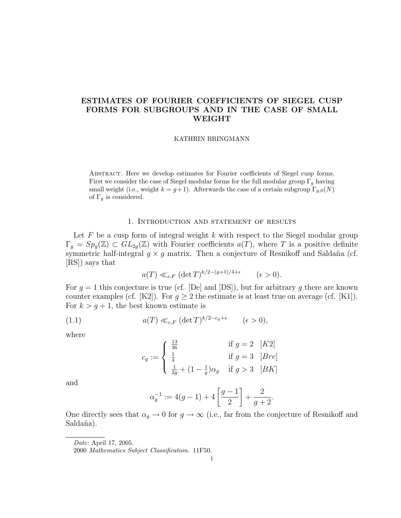# ESTIMATES OF FOURIER COEFFICIENTS OF SIEGEL CUSP FORMS FOR SUBGROUPS AND IN THE CASE OF SMALL WEIGHT

#### KATHRIN BRINGMANN

Abstract. Here we develop estimates for Fourier coefficients of Siegel cusp forms. First we consider the case of Siegel modular forms for the full modular group  $\Gamma_g$  having small weight (i.e., weight  $k = g + 1$ ). Afterwards the case of a certain subgroup  $\Gamma_{g,0}(N)$ of  $\Gamma_g$  is considered.

## 1. Introduction and statement of results

Let  $F$  be a cusp form of integral weight  $k$  with respect to the Siegel modular group  $\Gamma_g = Sp_g(\mathbb{Z}) \subset GL_{2g}(\mathbb{Z})$  with Fourier coefficients  $a(T)$ , where T is a positive definite symmetric half-integral  $g \times g$  matrix. Then a conjecture of Resnikoff and Saldaña (cf. [RS]) says that

$$
a(T) \ll_{\epsilon, F} (\det T)^{k/2 - (g+1)/4 + \epsilon} \qquad (\epsilon > 0).
$$

For  $g = 1$  this conjecture is true (cf. [De] and [DS]), but for arbitrary g there are known counter examples (cf. [K2]). For  $g \geq 2$  the estimate is at least true on average (cf. [K1]). For  $k > g + 1$ , the best known estimate is

(1.1) 
$$
a(T) \ll_{\epsilon, F} (\det T)^{k/2 - c_g + \epsilon} \qquad (\epsilon > 0),
$$

where

$$
c_g := \begin{cases} \frac{13}{36} & \text{if } g = 2 \quad [K2] \\ \frac{1}{4} & \text{if } g = 3 \quad [Bre] \\ \frac{1}{2g} + (1 - \frac{1}{g})\alpha_g & \text{if } g > 3 \quad [BK] \end{cases}
$$

and

$$
\alpha_g^{-1} := 4(g-1) + 4\left[\frac{g-1}{2}\right] + \frac{2}{g+2}
$$

.

One directly sees that  $\alpha_q \to 0$  for  $q \to \infty$  (i.e., far from the conjecture of Resnikoff and Saldaña).

Date: April 17, 2005.

<sup>2000</sup> Mathematics Subject Classification. 11F50.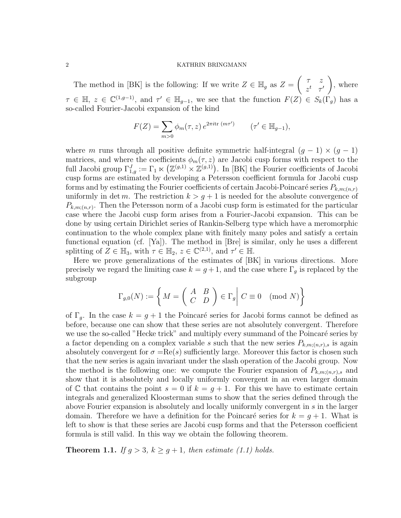The method in [BK] is the following: If we write  $Z \in \mathbb{H}_g$  as  $Z = \begin{pmatrix} \tau & z \\ z^t & \tau \end{pmatrix}$  $z^t$   $\tau'$  $\setminus$ , where  $\tau \in \mathbb{H}, z \in \mathbb{C}^{(1,g-1)},$  and  $\tau' \in \mathbb{H}_{g-1}$ , we see that the function  $F(Z) \in S_k(\Gamma_g)$  has a so-called Fourier-Jacobi expansion of the kind

$$
F(Z) = \sum_{m>0} \phi_m(\tau, z) e^{2\pi i \text{tr}(m\tau')} \qquad (\tau' \in \mathbb{H}_{g-1}),
$$

where m runs through all positive definite symmetric half-integral  $(g - 1) \times (g - 1)$ matrices, and where the coefficients  $\phi_m(\tau, z)$  are Jacobi cusp forms with respect to the full Jacobi group  $\Gamma_{1,g}^J := \Gamma_1 \ltimes (\mathbb{Z}^{(g,1)} \times \mathbb{Z}^{(g,1)})$ . In [BK] the Fourier coefficients of Jacobi cusp forms are estimated by developing a Petersson coefficient formula for Jacobi cusp forms and by estimating the Fourier coefficients of certain Jacobi-Poincaré series  $P_{k,m:(n,r)}$ uniformly in det m. The restriction  $k > g + 1$  is needed for the absolute convergence of  $P_{k,m;(n,r)}$ . Then the Petersson norm of a Jacobi cusp form is estimated for the particular case where the Jacobi cusp form arises from a Fourier-Jacobi expansion. This can be done by using certain Dirichlet series of Rankin-Selberg type which have a meromorphic continuation to the whole complex plane with finitely many poles and satisfy a certain functional equation (cf. [Ya]). The method in [Bre] is similar, only he uses a different splitting of  $Z \in \mathbb{H}_3$ , with  $\tau \in \mathbb{H}_2$ ,  $z \in \mathbb{C}^{(2,1)}$ , and  $\tau' \in \mathbb{H}$ .

Here we prove generalizations of the estimates of [BK] in various directions. More precisely we regard the limiting case  $k = g + 1$ , and the case where  $\Gamma_g$  is replaced by the subgroup

$$
\Gamma_{g,0}(N) := \left\{ M = \left( \begin{array}{cc} A & B \\ C & D \end{array} \right) \in \Gamma_g \middle| C \equiv 0 \pmod{N} \right\}
$$

of  $\Gamma_g$ . In the case  $k = g + 1$  the Poincaré series for Jacobi forms cannot be defined as before, because one can show that these series are not absolutely convergent. Therefore we use the so-called "Hecke trick" and multiply every summand of the Poincaré series by a factor depending on a complex variable s such that the new series  $P_{k,m;(n,r),s}$  is again absolutely convergent for  $\sigma = \text{Re}(s)$  sufficiently large. Moreover this factor is chosen such that the new series is again invariant under the slash operation of the Jacobi group. Now the method is the following one: we compute the Fourier expansion of  $P_{k,m;(n,r),s}$  and show that it is absolutely and locally uniformly convergent in an even larger domain of C that contains the point  $s = 0$  if  $k = g + 1$ . For this we have to estimate certain integrals and generalized Kloosterman sums to show that the series defined through the above Fourier expansion is absolutely and locally uniformly convergent in s in the larger domain. Therefore we have a definition for the Poincaré series for  $k = g + 1$ . What is left to show is that these series are Jacobi cusp forms and that the Petersson coefficient formula is still valid. In this way we obtain the following theorem.

**Theorem 1.1.** If  $g > 3$ ,  $k \geq g+1$ , then estimate (1.1) holds.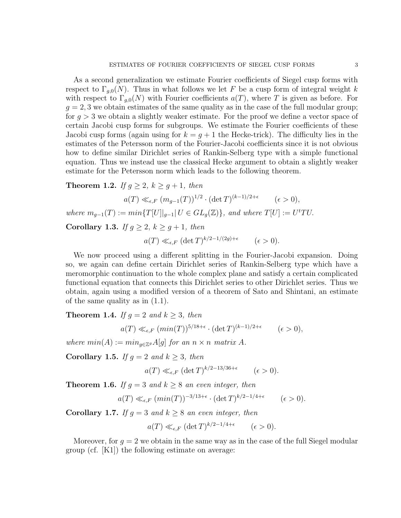As a second generalization we estimate Fourier coefficients of Siegel cusp forms with respect to  $\Gamma_{q,0}(N)$ . Thus in what follows we let F be a cusp form of integral weight k with respect to  $\Gamma_{q,0}(N)$  with Fourier coefficients  $a(T)$ , where T is given as before. For  $g = 2, 3$  we obtain estimates of the same quality as in the case of the full modular group; for  $q > 3$  we obtain a slightly weaker estimate. For the proof we define a vector space of certain Jacobi cusp forms for subgroups. We estimate the Fourier coefficients of these Jacobi cusp forms (again using for  $k = g + 1$  the Hecke-trick). The difficulty lies in the estimates of the Petersson norm of the Fourier-Jacobi coefficients since it is not obvious how to define similar Dirichlet series of Rankin-Selberg type with a simple functional equation. Thus we instead use the classical Hecke argument to obtain a slightly weaker estimate for the Petersson norm which leads to the following theorem.

**Theorem 1.2.** If  $g \geq 2$ ,  $k \geq g+1$ , then

$$
a(T) \ll_{\epsilon, F} (m_{g-1}(T))^{1/2} \cdot (\det T)^{(k-1)/2+\epsilon} \qquad (\epsilon > 0),
$$

where  $m_{g-1}(T) := min\{T[U]|_{g-1} | U \in GL_g(\mathbb{Z})\}$ , and where  $T[U] := U^tTU$ .

Corollary 1.3. If  $g \geq 2$ ,  $k \geq g+1$ , then

$$
a(T) \ll_{\epsilon, F} (\det T)^{k/2 - 1/(2g) + \epsilon} \qquad (\epsilon > 0).
$$

We now proceed using a different splitting in the Fourier-Jacobi expansion. Doing so, we again can define certain Dirichlet series of Rankin-Selberg type which have a meromorphic continuation to the whole complex plane and satisfy a certain complicated functional equation that connects this Dirichlet series to other Dirichlet series. Thus we obtain, again using a modified version of a theorem of Sato and Shintani, an estimate of the same quality as in (1.1).

**Theorem 1.4.** If  $g = 2$  and  $k \geq 3$ , then

$$
a(T) \ll_{\epsilon, F} (\min(T))^{5/18+\epsilon} \cdot (\det T)^{(k-1)/2+\epsilon} \qquad (\epsilon > 0),
$$

where  $min(A) := min_{q \in \mathbb{Z}^g} A[q]$  for an  $n \times n$  matrix A.

Corollary 1.5. If  $q = 2$  and  $k > 3$ , then

$$
a(T) \ll_{\epsilon, F} (\det T)^{k/2 - 13/36 + \epsilon} \qquad (\epsilon > 0).
$$

**Theorem 1.6.** If  $g = 3$  and  $k \ge 8$  an even integer, then

$$
a(T) \ll_{\epsilon, F} (\min(T))^{-3/13+\epsilon} \cdot (\det T)^{k/2-1/4+\epsilon} \qquad (\epsilon > 0).
$$

**Corollary 1.7.** If  $g = 3$  and  $k \ge 8$  an even integer, then

$$
a(T) \ll_{\epsilon, F} (\det T)^{k/2 - 1/4 + \epsilon} \qquad (\epsilon > 0).
$$

Moreover, for  $g = 2$  we obtain in the same way as in the case of the full Siegel modular group (cf. [K1]) the following estimate on average: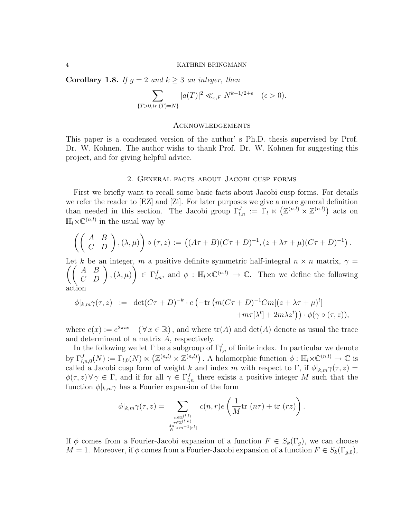Corollary 1.8. If  $g = 2$  and  $k \geq 3$  an integer, then

$$
\sum_{\{T>0, tr\ (T)=N\}} |a(T)|^2 \ll_{\epsilon, F} N^{k-1/2+\epsilon} \quad (\epsilon > 0).
$$

#### Acknowledgements

This paper is a condensed version of the author' s Ph.D. thesis supervised by Prof. Dr. W. Kohnen. The author wishs to thank Prof. Dr. W. Kohnen for suggesting this project, and for giving helpful advice.

## 2. General facts about Jacobi cusp forms

First we briefly want to recall some basic facts about Jacobi cusp forms. For details we refer the reader to [EZ] and [Zi]. For later purposes we give a more general definition than needed in this section. The Jacobi group  $\Gamma_{l,n}^J := \Gamma_l \ltimes (\mathbb{Z}^{(n,l)} \times \mathbb{Z}^{(n,l)})$  acts on  $\mathbb{H}_l \times \mathbb{C}^{(n,l)}$  in the usual way by

$$
\left(\left(\begin{array}{cc} A & B \\ C & D \end{array}\right), (\lambda,\mu)\right) \circ (\tau,z) := \left((A\tau + B)(C\tau + D)^{-1}, (z + \lambda\tau + \mu)(C\tau + D)^{-1}\right).
$$

 $\left(\left(\begin{array}{cc} A & B \ C & D \end{array}\right), (\lambda,\mu) \right)$ Let k be an integer, m a positive definite symmetric half-integral  $n \times n$  matrix,  $\gamma =$  $\setminus$  $\in \Gamma^J_{l,n}$ , and  $\phi : \mathbb{H}_l \times \mathbb{C}^{(n,l)} \to \mathbb{C}$ . Then we define the following action

$$
\phi|_{k,m}\gamma(\tau,z) := \det(C\tau+D)^{-k} \cdot e\left(-\text{tr}\left(m(C\tau+D)^{-1}Cm[(z+\lambda\tau+\mu)^t]\right) + m\tau[\lambda^t] + 2m\lambda z^t)\right) \cdot \phi(\gamma \circ (\tau,z)),
$$

where  $e(x) := e^{2\pi ix}$   $(\forall x \in \mathbb{R})$ , and where  $tr(A)$  and  $det(A)$  denote as usual the trace and determinant of a matrix A, respectively.

In the following we let  $\Gamma$  be a subgroup of  $\Gamma^J_{l,n}$  of finite index. In particular we denote by  $\Gamma_{l,n,0}^{J}(N) := \Gamma_{l,0}(N) \ltimes (\mathbb{Z}^{(n,l)} \times \mathbb{Z}^{(n,l)})$ . A holomorphic function  $\phi : \mathbb{H}_{l} \times \mathbb{C}^{(n,l)} \to \mathbb{C}$  is called a Jacobi cusp form of weight k and index m with respect to Γ, if  $\phi|_{k,m}\gamma(\tau,z) =$  $\phi(\tau, z) \forall \gamma \in \Gamma$ , and if for all  $\gamma \in \Gamma_{l,n}^J$  there exists a positive integer M such that the function  $\phi|_{k,m}$  has a Fourier expansion of the form

$$
\phi|_{k,m}\gamma(\tau,z) = \sum_{\substack{n \in \mathbb{Z}^{(l,t)} \\ \frac{4n}{N} > m^{-1}[r^t] \\ n \text{ s.t. } |x| > m}} c(n,r)e\left(\frac{1}{M}\text{tr }(n\tau) + \text{tr }(rz)\right).
$$

If  $\phi$  comes from a Fourier-Jacobi expansion of a function  $F \in S_k(\Gamma_g)$ , we can choose  $M = 1$ . Moreover, if  $\phi$  comes from a Fourier-Jacobi expansion of a function  $F \in S_k(\Gamma_{g,0}),$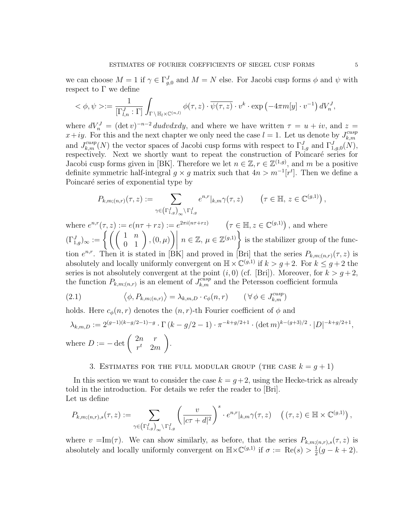we can choose  $M = 1$  if  $\gamma \in \Gamma_{g,0}^J$  and  $M = N$  else. For Jacobi cusp forms  $\phi$  and  $\psi$  with respect to  $\Gamma$  we define

$$
\langle \phi, \psi \rangle := \frac{1}{\left[\Gamma_{l,n}^J : \Gamma\right]} \int_{\Gamma \setminus \mathbb{H}_l \times \mathbb{C}^{(n,l)}} \phi(\tau, z) \cdot \overline{\psi(\tau, z)} \cdot v^k \cdot \exp\left(-4\pi m[y] \cdot v^{-1}\right) dV_n^J,
$$

where  $dV_n^J = (\det v)^{-n-2} du dv dx dy$ , and where we have written  $\tau = u + iv$ , and  $z =$  $x+iy$ . For this and the next chapter we only need the case  $l=1$ . Let us denote by  $J_{k,m}^{cusp}$  $_{k,m}$ and  $J_{k,m}^{cusp}(N)$  the vector spaces of Jacobi cusp forms with respect to  $\Gamma_{1,g}^{J}$  and  $\Gamma_{1,g,0}^{J}(N)$ , respectively. Next we shortly want to repeat the construction of Poincaré series for Jacobi cusp forms given in [BK]. Therefore we let  $n \in \mathbb{Z}, r \in \mathbb{Z}^{(1,g)}$ , and m be a positive definite symmetric half-integral  $g \times g$  matrix such that  $4n > m^{-1}[r^t]$ . Then we define a Poincaré series of exponential type by

$$
P_{k,m;(n,r)}(\tau,z) := \sum_{\gamma \in (\Gamma^J_{1,g})_\infty \backslash \Gamma^J_{1,g}} e^{n,r} |_{k,m} \gamma(\tau,z) \qquad (\tau \in \mathbb{H}, z \in \mathbb{C}^{(g,1)}) ,
$$

where  $e^{n,r}(\tau,z) := e(n\tau + rz) := e^{2\pi i(n\tau + rz)}$  $(\tau \in \mathbb{H}, z \in \mathbb{C}^{(g,1)})$ , and where  $(\Gamma_{1,g}^{J})_{\infty}:=\left\{\left(\left(\begin{array}{cc} 1 & n \ 0 & 1 \end{array}\right), (0,\mu)\right)$  $\left| \begin{matrix} 1 \\ 1 \\ 2 \end{matrix} \right|$  $n \in \mathbb{Z}, \mu \in \mathbb{Z}^{(g,1)}$  is the stabilizer group of the function  $e^{n,r}$ . Then it is stated in [BK] and proved in [Bri] that the series  $P_{k,m;(n,r)}(\tau,z)$  is absolutely and locally uniformly convergent on  $\mathbb{H} \times \mathbb{C}^{(g,1)}$  if  $k > g+2$ . For  $k \leq g+2$  the series is not absolutely convergent at the point  $(i, 0)$  (cf. [Bri]). Moreover, for  $k > g+2$ , the function  $P_{k,m;(n,r)}$  is an element of  $J_{k,m}^{cusp}$  and the Petersson coefficient formula

(2.1) 
$$
\langle \phi, P_{k,m;(n,r)} \rangle = \lambda_{k,m,D} \cdot c_{\phi}(n,r) \qquad (\forall \phi \in J_{k,m}^{cusp})
$$

holds. Here  $c_{\phi}(n, r)$  denotes the  $(n, r)$ -th Fourier coefficient of  $\phi$  and

$$
\lambda_{k,m,D} := 2^{(g-1)(k-g/2-1)-g} \cdot \Gamma(k-g/2-1) \cdot \pi^{-k+g/2+1} \cdot (\det m)^{k-(g+3)/2} \cdot |D|^{-k+g/2+1},
$$
  
where  $D := -\det \begin{pmatrix} 2n & r \\ r^t & 2m \end{pmatrix}$ .

3. ESTIMATES FOR THE FULL MODULAR GROUP (THE CASE  $k = g + 1$ )

In this section we want to consider the case  $k = g + 2$ , using the Hecke-trick as already told in the introduction. For details we refer the reader to [Bri]. Let us define

$$
P_{k,m;(n,r),s}(\tau,z) := \sum_{\gamma \in (\Gamma^J_{1,g})_\infty \backslash \Gamma^J_{1,g}} \left( \frac{v}{|c\tau + d|^2} \right)^s \cdot e^{n,r} |_{k,m} \gamma(\tau,z) \quad ((\tau,z) \in \mathbb{H} \times \mathbb{C}^{(g,1)}) ,
$$

where  $v = \text{Im}(\tau)$ . We can show similarly, as before, that the series  $P_{k,m;(n,r),s}(\tau,z)$  is absolutely and locally uniformly convergent on  $\mathbb{H}\times\mathbb{C}^{(g,1)}$  if  $\sigma := \text{Re}(s) > \frac{1}{2}$  $\frac{1}{2}(g-k+2).$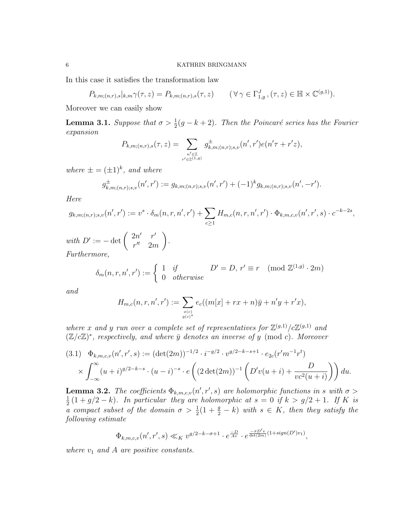In this case it satisfies the transformation law

$$
P_{k,m;(n,r),s}|_{k,m}\gamma(\tau,z) = P_{k,m;(n,r),s}(\tau,z) \qquad (\forall \gamma \in \Gamma^J_{1,g}, (\tau,z) \in \mathbb{H} \times \mathbb{C}^{(g,1)}).
$$

Moreover we can easily show

**Lemma 3.1.** Suppose that  $\sigma > \frac{1}{2}(g - k + 2)$ . Then the Poincaré series has the Fourier expansion

$$
P_{k,m;(n,r),s}(\tau,z) = \sum_{\substack{n' \in \mathbb{Z} \\ r' \in \mathbb{Z}^{(1,g)}}} g^{\pm}_{k,m;(n,r);s,v}(n',r')e(n'\tau+r'z),
$$

where  $\pm = (\pm 1)^k$ , and where

$$
g_{k,m;(n,r);s,v}^{\pm}(n',r') := g_{k,m;(n,r);s,v}(n',r') + (-1)^k g_{k,m;(n,r);s,v}(n',-r').
$$

Here

$$
g_{k,m;(n,r);s,v}(n',r') := v^s \cdot \delta_m(n,r,n',r') + \sum_{c \geq 1} H_{m,c}(n,r,n',r') \cdot \Phi_{k,m,c,v}(n',r',s) \cdot c^{-k-2s},
$$

with  $D' := -\det \begin{pmatrix} 2n' & r' \\ -r' & 2n \end{pmatrix}$  $r'^t$  2m  $\setminus$ . Furthermore,

$$
\delta_m(n, r, n', r') := \begin{cases} 1 & \text{if} \\ 0 & \text{otherwise} \end{cases} \quad D' = D, r' \equiv r \pmod{\mathbb{Z}^{(1, g)} \cdot 2m}
$$

and

$$
H_{m,c}(n,r,n',r') := \sum_{x(c) \atop y(c)^*} e_c((m[x] + rx + n)\bar{y} + n'y + r'x),
$$

where x and y run over a complete set of representatives for  $\mathbb{Z}^{(g,1)}/c\mathbb{Z}^{(g,1)}$  and  $(\mathbb{Z}/c\mathbb{Z})^*$ , respectively, and where  $\bar{y}$  denotes an inverse of y (mod c). Moreover

$$
(3.1) \quad \Phi_{k,m,c,v}(n',r',s) := (\det(2m))^{-1/2} \cdot i^{-g/2} \cdot v^{g/2-k-s+1} \cdot e_{2c}(r'm^{-1}r^t)
$$

$$
\times \int_{-\infty}^{\infty} (u+i)^{g/2-k-s} \cdot (u-i)^{-s} \cdot e\left((2\det(2m))^{-1}\left(D'v(u+i) + \frac{D}{vc^2(u+i)}\right)\right) du.
$$

**Lemma 3.2.** The coefficients  $\Phi_{k,m,c,v}(n',r',s)$  are holomorphic functions in s with  $\sigma >$ 1  $\frac{1}{2}(1+g/2-k)$ . In particular they are holomorphic at  $s=0$  if  $k > g/2+1$ . If K is a compact subset of the domain  $\sigma > \frac{1}{2}(1 + \frac{g}{2} - k)$  with  $s \in K$ , then they satisfy the following estimate

$$
\Phi_{k,m,c,v}(n',r',s) \ll_K v^{g/2-k-\sigma+1} \cdot e^{\frac{-D}{Av}} \cdot e^{\frac{-\pi D'v}{\det(2m)}(1+sign(D')v_1)},
$$

where  $v_1$  and A are positive constants.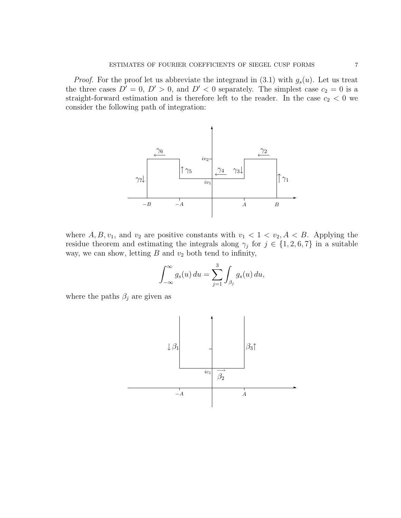*Proof.* For the proof let us abbreviate the integrand in  $(3.1)$  with  $g_s(u)$ . Let us treat the three cases  $D' = 0$ ,  $D' > 0$ , and  $D' < 0$  separately. The simplest case  $c_2 = 0$  is a straight-forward estimation and is therefore left to the reader. In the case  $c_2 < 0$  we consider the following path of integration:



where  $A, B, v_1$ , and  $v_2$  are positive constants with  $v_1 < 1 < v_2, A < B$ . Applying the residue theorem and estimating the integrals along  $\gamma_j$  for  $j \in \{1, 2, 6, 7\}$  in a suitable way, we can show, letting  $B$  and  $v_2$  both tend to infinity,

$$
\int_{-\infty}^{\infty} g_s(u) du = \sum_{j=1}^{3} \int_{\beta_j} g_s(u) du,
$$

where the paths  $\beta_j$  are given as

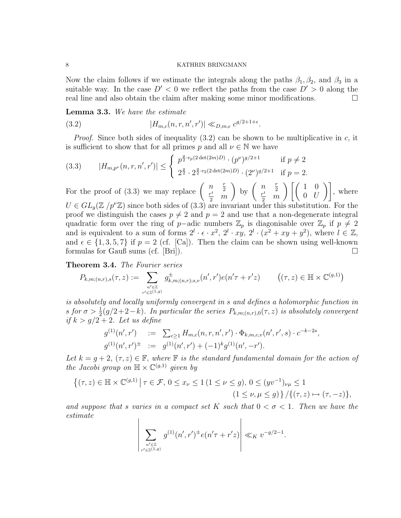Now the claim follows if we estimate the integrals along the paths  $\beta_1, \beta_2$ , and  $\beta_3$  in a suitable way. In the case  $D' < 0$  we reflect the paths from the case  $D' > 0$  along the real line and also obtain the claim after making some minor modifications.

Lemma 3.3. We have the estimate

(3.2) 
$$
|H_{m,c}(n,r,n',r')| \ll_{D,m,\epsilon} c^{g/2+1+\epsilon}.
$$

*Proof.* Since both sides of inequality  $(3.2)$  can be shown to be multiplicative in c, it is sufficient to show that for all primes p and all  $\nu \in \mathbb{N}$  we have

$$
(3.3) \qquad |H_{m,p^{\nu}}(n,r,n',r')| \leq \begin{cases} p^{\frac{g}{2}\cdot v_p(2\det(2m)D)} \cdot (p^{\nu})^{g/2+1} & \text{if } p \neq 2\\ 2^{\frac{g}{2}} \cdot 2^{\frac{g}{2}\cdot v_2(2\det(2m)D)} \cdot (2^{\nu})^{g/2+1} & \text{if } p = 2. \end{cases}
$$

For the proof of (3.3) we may replace  $\begin{pmatrix} n & \frac{r}{2} \\ r^t & \frac{r}{2} \end{pmatrix}$  $\frac{r^t}{2}$  m  $\bigg\}$  by  $\left(\begin{array}{cc} n & \frac{r}{2} \\ r^t & \cdots \end{array}\right)$  $\frac{r^t}{2}$  m  $\left\langle \begin{array}{cc} 1 & 0 \\ 0 & 0 \end{array} \right\rangle$  $\begin{bmatrix} 1 & 0 \\ 0 & U \end{bmatrix}$ , where  $U \in GL_q(\mathbb{Z}/p^{\nu}\mathbb{Z})$  since both sides of (3.3) are invariant under this substitution. For the proof we distinguish the cases  $p \neq 2$  and  $p = 2$  and use that a non-degenerate integral quadratic form over the ring of p-adic numbers  $\mathbb{Z}_p$  is diagonisable over  $\mathbb{Z}_p$  if  $p \neq 2$ and is equivalent to a sum of forms  $2^l \cdot \epsilon \cdot x^2$ ,  $2^l \cdot xy$ ,  $2^l \cdot (x^2 + xy + y^2)$ , where  $l \in \mathbb{Z}$ , and  $\epsilon \in \{1, 3, 5, 7\}$  if  $p = 2$  (cf. [Ca]). Then the claim can be shown using well-known formulas for Gauß sums (cf. [Bri]).

Theorem 3.4. The Fourier series

$$
P_{k,m;(n,r),s}(\tau,z) := \sum_{\substack{n' \in \mathbb{Z} \\ r' \in \mathbb{Z}^{(1,g)}}} g^{\pm}_{k,m;(n,r);s,v}(n',r')e(n'\tau+r'z) \qquad ((\tau,z) \in \mathbb{H} \times \mathbb{C}^{(g,1)})
$$

is absolutely and locally uniformly convergent in s and defines a holomorphic function in s for  $\sigma > \frac{1}{2}(g/2+2-k)$ . In particular the series  $P_{k,m;(n,r),0}(\tau,z)$  is absolutely convergent if  $k > g/2 + 2$ . Let us define

$$
g^{(1)}(n',r') := \sum_{c\geq 1} H_{m,c}(n,r,n',r') \cdot \Phi_{k,m,c,v}(n',r',s) \cdot c^{-k-2s},
$$
  

$$
g^{(1)}(n',r')^{\pm} := g^{(1)}(n',r') + (-1)^k g^{(1)}(n',-r').
$$

Let  $k = q + 2$ ,  $(\tau, z) \in \mathbb{F}$ , where  $\mathbb{F}$  is the standard fundamental domain for the action of the Jacobi group on  $\mathbb{H} \times \mathbb{C}^{(g,1)}$  given by

$$
\{(\tau, z) \in \mathbb{H} \times \mathbb{C}^{(g,1)} \mid \tau \in \mathcal{F}, 0 \le x_{\nu} \le 1 \ (1 \le \nu \le g), 0 \le (yv^{-1})_{\nu\mu} \le 1
$$
  

$$
(1 \le \nu, \mu \le g) \}/\{(\tau, z) \mapsto (\tau, -z)\},
$$

and suppose that s varies in a compact set K such that  $0 < \sigma < 1$ . Then we have the estimate  $\overline{1}$ 

$$
\left| \sum_{\substack{n' \in \mathbb{Z} \\ r' \in \mathbb{Z}^{(1,g)}}} g^{(1)}(n',r')^{\pm} e(n'\tau + r'z) \right| \ll_K v^{-g/2 - 1}.
$$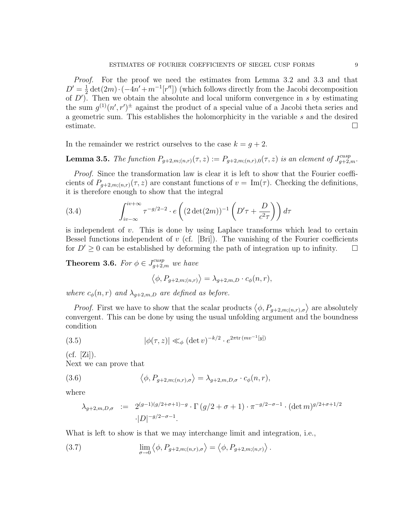Proof. For the proof we need the estimates from Lemma 3.2 and 3.3 and that  $D' = \frac{1}{2}$  $\frac{1}{2} \det(2m) \cdot (-4n' + m^{-1}[r'^t])$  (which follows directly from the Jacobi decomposition of  $D'$ ). Then we obtain the absolute and local uniform convergence in s by estimating the sum  $g^{(1)}(n',r')^{\pm}$  against the product of a special value of a Jacobi theta series and a geometric sum. This establishes the holomorphicity in the variable s and the desired estimate.

In the remainder we restrict ourselves to the case  $k = g + 2$ .

**Lemma 3.5.** The function  $P_{g+2,m;(n,r)}(\tau, z) := P_{g+2,m;(n,r),0}(\tau, z)$  is an element of  $J_{g+2,m}^{cusp}$ .

Proof. Since the transformation law is clear it is left to show that the Fourier coefficients of  $P_{q+2,m;(n,r)}(\tau,z)$  are constant functions of  $v = \text{Im}(\tau)$ . Checking the definitions, it is therefore enough to show that the integral

(3.4) 
$$
\int_{iv-\infty}^{iv+\infty} \tau^{-g/2-2} \cdot e\left((2 \det(2m))^{-1} \left(D'\tau + \frac{D}{c^2\tau}\right)\right) d\tau
$$

is independent of  $v$ . This is done by using Laplace transforms which lead to certain Bessel functions independent of v (cf.  $|Bri|$ ). The vanishing of the Fourier coefficients for  $D' \geq 0$  can be established by deforming the path of integration up to infinity.  $\square$ 

**Theorem 3.6.** For  $\phi \in J_{g+2,m}^{cusp}$  we have

$$
\langle \phi, P_{g+2,m;(n,r)} \rangle = \lambda_{g+2,m,D} \cdot c_{\phi}(n,r),
$$

where  $c_{\phi}(n,r)$  and  $\lambda_{q+2,m,D}$  are defined as before.

*Proof.* First we have to show that the scalar products  $\langle \phi, P_{g+2,m;(n,r),\sigma} \rangle$  are absolutely convergent. This can be done by using the usual unfolding argument and the boundness condition

(3.5) 
$$
|\phi(\tau, z)| \ll_{\phi} (\det v)^{-k/2} \cdot e^{2\pi \text{tr}(mv^{-1}[y])}
$$

 $(cf. [Zi]).$ 

Next we can prove that

(3.6) 
$$
\langle \phi, P_{g+2,m;(n,r),\sigma} \rangle = \lambda_{g+2,m,D,\sigma} \cdot c_{\phi}(n,r),
$$

where

$$
\lambda_{g+2,m,D,\sigma} := 2^{(g-1)(g/2+\sigma+1)-g} \cdot \Gamma(g/2+\sigma+1) \cdot \pi^{-g/2-\sigma-1} \cdot (\det m)^{g/2+\sigma+1/2}
$$

$$
\cdot |D|^{-g/2-\sigma-1}.
$$

What is left to show is that we may interchange limit and integration, i.e.,

(3.7) 
$$
\lim_{\sigma \to 0} \left\langle \phi, P_{g+2,m;(n,r),\sigma} \right\rangle = \left\langle \phi, P_{g+2,m;(n,r)} \right\rangle.
$$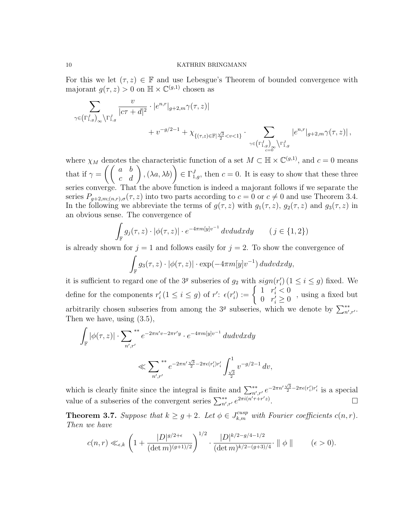For this we let  $(\tau, z) \in \mathbb{F}$  and use Lebesgue's Theorem of bounded convergence with majorant  $g(\tau, z) > 0$  on  $\mathbb{H} \times \mathbb{C}^{(g, 1)}$  chosen as

$$
\sum_{\gamma \in (\Gamma^J_{1,g})_\infty \backslash \Gamma^J_{1,g}} \frac{v}{|c\tau+d|^2} \cdot |e^{n,r}|_{g+2,m} \gamma(\tau,z)|
$$
  
 
$$
+ v^{-g/2-1} + \chi_{\{(\tau,z) \in \mathbb{F} \backslash \frac{\sqrt{3}}{2} < v < 1\}} \cdot \sum_{\gamma \in (\Gamma^J_{1,g})_\infty \backslash \Gamma^J_{1,g}} |e^{n,r}|_{g+2,m} \gamma(\tau,z)|,
$$

where  $\chi_M$  denotes the characteristic function of a set  $M \subset \mathbb{H} \times \mathbb{C}^{(g,1)}$ , and  $c = 0$  means that if  $\gamma = \left( \left( \begin{array}{cc} a & b \ c & d \end{array} \right), (\lambda a, \lambda b) \right)$  $\setminus$  $\in \Gamma^J_{1,g}$ , then  $c=0$ . It is easy to show that these three series converge. That the above function is indeed a majorant follows if we separate the series  $P_{q+2,m;(n,r),\sigma}(\tau,z)$  into two parts according to  $c = 0$  or  $c \neq 0$  and use Theorem 3.4. In the following we abbreviate the terms of  $g(\tau, z)$  with  $g_1(\tau, z)$ ,  $g_2(\tau, z)$  and  $g_3(\tau, z)$  in an obvious sense. The convergence of

$$
\int_{\mathbb{F}} g_j(\tau, z) \cdot |\phi(\tau, z)| \cdot e^{-4\pi m[y]v^{-1}} \, dvdu dx dy \qquad (j \in \{1, 2\})
$$

is already shown for  $j = 1$  and follows easily for  $j = 2$ . To show the convergence of

$$
\int_{\mathbb{F}} g_3(\tau, z) \cdot |\phi(\tau, z)| \cdot \exp(-4\pi m[y]v^{-1}) du dv dx dy,
$$

it is sufficient to regard one of the  $3<sup>g</sup>$  subseries of  $g_2$  with  $sign(r'_i)$   $(1 \leq i \leq g)$  fixed. We define for the components  $r'_i (1 \leq i \leq g)$  of  $r' : \epsilon(r'_i) := \begin{cases} 1 & r'_i < 0 \\ 0 & r' > 0 \end{cases}$  $\begin{array}{cc} 1 & r_i > 0 \\ 0 & r'_i \geq 0 \end{array}$ , using a fixed but arbitrarily chosen subseries from among the 3<sup>g</sup> subseries, which we denote by  $\sum_{n',r'}^{**}$ . Then we have, using (3.5),

$$
\int_{\mathbb{F}} |\phi(\tau, z)| \cdot \sum_{n', r'}^{**} e^{-2\pi n' v - 2\pi r' y} \cdot e^{-4\pi m [y] v^{-1}} du dv dx dy
$$
  

$$
\ll \sum_{n', r'}^{**} e^{-2\pi n' \frac{\sqrt{3}}{2} - 2\pi \epsilon (r'_i) r'_i} \int_{\frac{\sqrt{3}}{2}}^1 v^{-g/2 - 1} dv,
$$

which is clearly finite since the integral is finite and  $\sum_{n',r'}^{**} e^{-2\pi n' \frac{\sqrt{3}}{2} - 2\pi \epsilon(r'_i)r'_i}$  is a special value of a subseries of the convergent series  $\sum_{n',r'}^{**} e^{2\pi i(n'\tau+r'z)}$ .

**Theorem 3.7.** Suppose that  $k \geq g+2$ . Let  $\phi \in J_{k,m}^{cusp}$  with Fourier coefficients  $c(n,r)$ . Then we have

$$
c(n,r) \ll_{\epsilon,k} \left(1 + \frac{|D|^{g/2+\epsilon}}{(\det m)^{(g+1)/2}}\right)^{1/2} \cdot \frac{|D|^{k/2 - g/4 - 1/2}}{(\det m)^{k/2 - (g+3)/4}} \cdot ||\phi|| \qquad (\epsilon > 0).
$$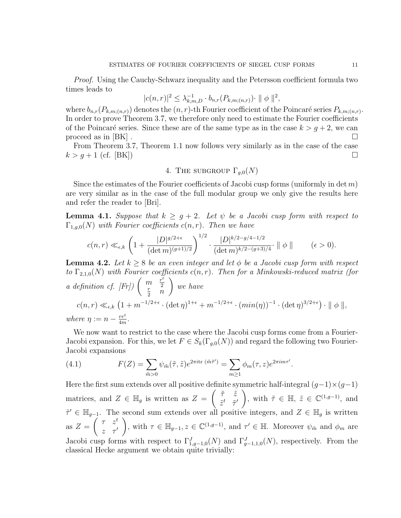Proof. Using the Cauchy-Schwarz inequality and the Petersson coefficient formula two times leads to

$$
|c(n,r)|^2 \leq \lambda_{k,m,D}^{-1} \cdot b_{n,r}(P_{k,m;(n,r)}) \cdot ||\phi||^2,
$$

where  $b_{n,r}(P_{k,m;(n,r)})$  denotes the  $(n,r)$ -th Fourier coefficient of the Poincaré series  $P_{k,m;(n,r)}$ . In order to prove Theorem 3.7, we therefore only need to estimate the Fourier coefficients of the Poincaré series. Since these are of the same type as in the case  $k > q + 2$ , we can proceed as in  $|BK|$ .

From Theorem 3.7, Theorem 1.1 now follows very similarly as in the case of the case  $k > g + 1$  (cf.  $|{\rm BK}|$ )

## 4. THE SUBGROUP  $\Gamma_{q,0}(N)$

Since the estimates of the Fourier coefficients of Jacobi cusp forms (uniformly in det  $m$ ) are very similar as in the case of the full modular group we only give the results here and refer the reader to [Bri].

**Lemma 4.1.** Suppose that  $k \geq g+2$ . Let  $\psi$  be a Jacobi cusp form with respect to  $\Gamma_{1,q,0}(N)$  with Fourier coefficients  $c(n,r)$ . Then we have

$$
c(n,r) \ll_{\epsilon,k} \left(1 + \frac{|D|^{g/2+\epsilon}}{(\det m)^{(g+1)/2}}\right)^{1/2} \cdot \frac{|D|^{k/2 - g/4 - 1/2}}{(\det m)^{k/2 - (g+3)/4}} \cdot ||\phi|| \qquad (\epsilon > 0).
$$

**Lemma 4.2.** Let  $k \geq 8$  be an even integer and let  $\phi$  be a Jacobi cusp form with respect to  $\Gamma_{2,1,0}(N)$  with Fourier coefficients  $c(n,r)$ . Then for a Minkowski-reduced matrix (for a definition cf. [Fr])  $\begin{pmatrix} m & \frac{r^t}{2} \\ r & \end{pmatrix}$  $\frac{r}{2}$   $\frac{2}{n}$ 2  $\setminus$ we have  $c(n,r) \ll_{\epsilon,k} (1 + m^{-1/2+\epsilon} \cdot (\det \eta)^{1+\epsilon} + m^{-1/2+\epsilon} \cdot (min(\eta))^{-1} \cdot (\det \eta)^{3/2+\epsilon}) \cdot || \phi ||,$ where  $\eta := n - \frac{rr^t}{4m}$  $\frac{rr^i}{4m}$  .

We now want to restrict to the case where the Jacobi cusp forms come from a Fourier-Jacobi expansion. For this, we let  $F \in S_k(\Gamma_{g,0}(N))$  and regard the following two Fourier-Jacobi expansions

(4.1) 
$$
F(Z) = \sum_{\tilde{m}>0} \psi_{\tilde{m}}(\tilde{\tau}, \tilde{z}) e^{2\pi i \text{tr } (\tilde{m}\tilde{\tau}')} = \sum_{m\geq 1} \phi_m(\tau, z) e^{2\pi i m \tau'}.
$$

Here the first sum extends over all positive definite symmetric half-integral  $(g-1)\times(g-1)$ matrices, and  $Z \in \mathbb{H}_g$  is written as  $Z = \begin{pmatrix} \tilde{\tau} & \tilde{z} \\ z_t & \tilde{z} \end{pmatrix}$  $\tilde{z}^t$   $\tilde{\tau}'$ ), with  $\tilde{\tau} \in \mathbb{H}$ ,  $\tilde{z} \in \mathbb{C}^{(1,g-1)}$ , and  $\tilde{\tau}' \in \mathbb{H}_{g-1}$ . The second sum extends over all positive integers, and  $Z \in \mathbb{H}_g$  is written as  $Z =$  $\int \tau z^t$  $z \tau'$ ), with  $\tau \in \mathbb{H}_{g-1}, z \in \mathbb{C}^{(1,g-1)}$ , and  $\tau' \in \mathbb{H}$ . Moreover  $\psi_{\tilde{m}}$  and  $\phi_m$  are Jacobi cusp forms with respect to  $\Gamma_{1,g-1,0}^{J}(N)$  and  $\Gamma_{g-1,1,0}^{J}(N)$ , respectively. From the classical Hecke argument we obtain quite trivially: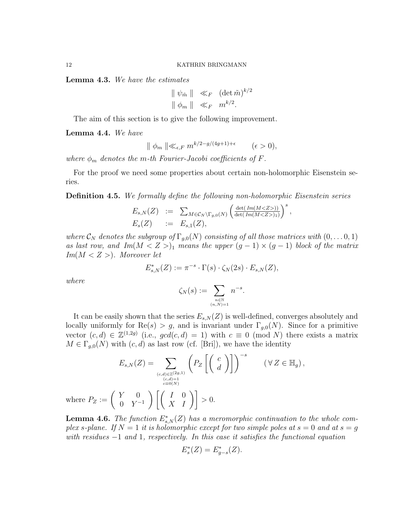Lemma 4.3. We have the estimates

$$
\|\psi_{\tilde{m}}\| \ll_F (\det \tilde{m})^{k/2}
$$
  

$$
\|\phi_m\| \ll_F m^{k/2}.
$$

The aim of this section is to give the following improvement.

Lemma 4.4. We have

$$
\parallel \phi_m \parallel \ll_{\epsilon, F} m^{k/2 - g/(4g+1) + \epsilon} \qquad (\epsilon > 0),
$$

where  $\phi_m$  denotes the m-th Fourier-Jacobi coefficients of F.

For the proof we need some properties about certain non-holomorphic Eisenstein series.

Definition 4.5. We formally define the following non-holomorphic Eisenstein series

$$
E_{s,N}(Z) := \sum_{M \in \mathcal{C}_N \backslash \Gamma_{g,0}(N)} \left( \frac{\det(\text{Im}(M < Z >))}{\det(\text{Im}(M < Z >))} \right)^s,
$$
  

$$
E_s(Z) := E_{s,1}(Z),
$$

where  $\mathcal{C}_N$  denotes the subgroup of  $\Gamma_{q,0}(N)$  consisting of all those matrices with  $(0,\ldots,0,1)$ as last row, and Im( $M < Z >$ )<sub>1</sub> means the upper  $(g - 1) \times (g - 1)$  block of the matrix  $Im(M < Z >)$ . Moreover let

$$
E_{s,N}^*(Z) := \pi^{-s} \cdot \Gamma(s) \cdot \zeta_N(2s) \cdot E_{s,N}(Z),
$$

where

where  $P_Z$ 

$$
\zeta_N(s):=\sum_{n\in\mathbb{N}\atop (n,N)=1}n^{-s}
$$

.

It can be easily shown that the series  $E_{s,N}(Z)$  is well-defined, converges absolutely and locally uniformly for  $\text{Re}(s) > g$ , and is invariant under  $\Gamma_{g,0}(N)$ . Since for a primitive vector  $(c, d) \in \mathbb{Z}^{(1,2g)}$  (i.e.,  $gcd(c, d) = 1$ ) with  $c \equiv 0 \pmod{N}$  there exists a matrix  $M \in \Gamma_{g,0}(N)$  with  $(c, d)$  as last row (cf. [Bri]), we have the identity

$$
E_{s,N}(Z) = \sum_{\substack{(c,d) \in \mathbb{Z}^{(2g,1)} \\ c \equiv 0(N) \\ c \equiv 0(N)}} \left( P_Z \left[ \left( \begin{array}{c} c \\ d \end{array} \right) \right] \right)^{-s} \qquad (\forall Z \in \mathbb{H}_g),
$$
  
 := 
$$
\left( \begin{array}{cc} Y & 0 \\ 0 & Y^{-1} \end{array} \right) \left[ \left( \begin{array}{cc} I & 0 \\ X & I \end{array} \right) \right] > 0.
$$

**Lemma 4.6.** The function  $E_{s,N}^*(Z)$  has a meromorphic continuation to the whole complex s-plane. If  $N = 1$  it is holomorphic except for two simple poles at  $s = 0$  and at  $s = g$ with residues  $-1$  and 1, respectively. In this case it satisfies the functional equation

$$
E_s^*(Z) = E_{g-s}^*(Z).
$$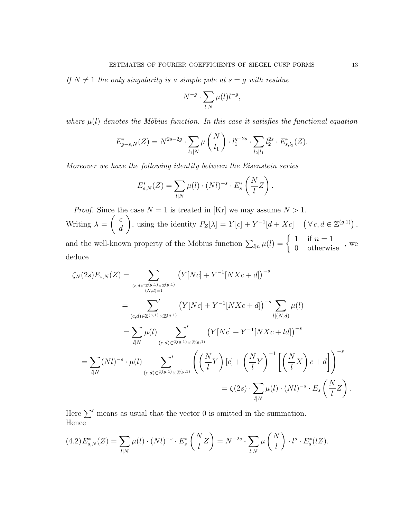If  $N \neq 1$  the only singularity is a simple pole at  $s = g$  with residue

$$
N^{-g} \cdot \sum_{l|N} \mu(l) l^{-g},
$$

where  $\mu(l)$  denotes the Möbius function. In this case it satisfies the functional equation

$$
E_{g-s,N}^*(Z) = N^{2s-2g} \cdot \sum_{l_1|N} \mu\left(\frac{N}{l_1}\right) \cdot l_1^{g-2s} \cdot \sum_{l_2|l_1} l_2^{2s} \cdot E_{s,l_2}^*(Z).
$$

Moreover we have the following identity between the Eisenstein series

$$
E_{s,N}^*(Z) = \sum_{l|N} \mu(l) \cdot (Nl)^{-s} \cdot E_s^* \left(\frac{N}{l}Z\right).
$$

*Proof.* Since the case  $N = 1$  is treated in [Kr] we may assume  $N > 1$ . Writing  $\lambda =$  $\int c$ d  $\setminus$ , using the identity  $P_Z[\lambda] = Y[c] + Y^{-1}[d + Xc] \quad (\forall c, d \in \mathbb{Z}^{(g,1)})$ ,

and the well-known property of the Möbius function  $\sum_{l|n} \mu(l) = \begin{cases} 1 & \text{if } n = 1 \\ 0 & \text{otherwise} \end{cases}$ , we deduce

$$
\zeta_N(2s)E_{s,N}(Z) = \sum_{(c,d)\in \mathbb{Z}^{(g,1)}\times \mathbb{Z}^{(g,1)}} \left(Y[Nc]+Y^{-1}[NXc+d]\right)^{-s}
$$
  
\n
$$
= \sum_{(c,d)\in \mathbb{Z}^{(g,1)}\times \mathbb{Z}^{(g,1)}} \left(Y[Nc]+Y^{-1}[NXc+d]\right)^{-s} \sum_{l|(N,d)} \mu(l)
$$
  
\n
$$
= \sum_{l|N} \mu(l) \sum_{(c,d)\in \mathbb{Z}^{(g,1)}\times \mathbb{Z}^{(g,1)}} \left(Y[Nc]+Y^{-1}[NXc+ld]\right)^{-s}
$$
  
\n
$$
= \sum_{l|N} (Nl)^{-s} \cdot \mu(l) \sum_{(c,d)\in \mathbb{Z}^{(g,1)}\times \mathbb{Z}^{(g,1)}} \left(\left(\frac{N}{l}Y\right)[c]+ \left(\frac{N}{l}Y\right)^{-1} \left[\left(\frac{N}{l}X\right)c+d\right]\right)^{-s}
$$
  
\n
$$
= \zeta(2s) \cdot \sum_{l|N} \mu(l) \cdot (Nl)^{-s} \cdot E_s \left(\frac{N}{l}Z\right).
$$

Here  $\sum'$  means as usual that the vector 0 is omitted in the summation. Hence

$$
(4.2) E_{s,N}^*(Z) = \sum_{l|N} \mu(l) \cdot (N l)^{-s} \cdot E_s^* \left(\frac{N}{l} Z\right) = N^{-2s} \cdot \sum_{l|N} \mu\left(\frac{N}{l}\right) \cdot l^s \cdot E_s^*(lZ).
$$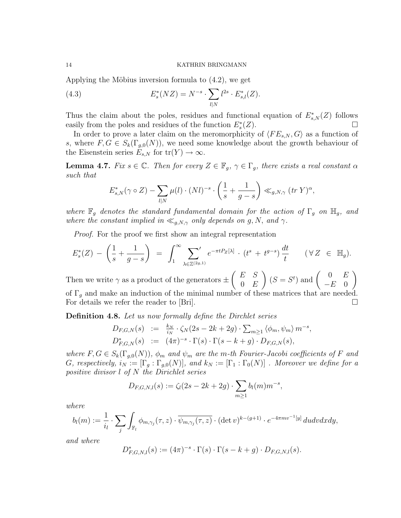Applying the Möbius inversion formula to  $(4.2)$ , we get

(4.3) 
$$
E_s^*(NZ) = N^{-s} \cdot \sum_{l|N} l^{2s} \cdot E_{s,l}^*(Z).
$$

Thus the claim about the poles, residues and functional equation of  $E^*_{s,N}(Z)$  follows easily from the poles and residues of the function  $E_s^*$  $(Z).$ 

In order to prove a later claim on the meromorphicity of  $\langle FE_{s,N} , G \rangle$  as a function of s, where  $F, G \in S_k(\Gamma_{q,0}(N))$ , we need some knowledge about the growth behaviour of the Eisenstein series  $E_{s,N}$  for  $\text{tr}(Y) \to \infty$ .

**Lemma 4.7.** Fix  $s \in \mathbb{C}$ . Then for every  $Z \in \mathbb{F}_q$ ,  $\gamma \in \Gamma_q$ , there exists a real constant  $\alpha$ such that

$$
E_{s,N}^*(\gamma \circ Z) - \sum_{l|N} \mu(l) \cdot (Nl)^{-s} \cdot \left(\frac{1}{s} + \frac{1}{g-s}\right) \ll_{g,N,\gamma} (tr \, Y)^\alpha,
$$

where  $\mathbb{F}_g$  denotes the standard fundamental domain for the action of  $\Gamma_g$  on  $\mathbb{H}_g$ , and where the constant implied in  $\ll_{g,N,\gamma}$  only depends on g, N, and  $\gamma$ .

Proof. For the proof we first show an integral representation

$$
E_s^*(Z) - \left(\frac{1}{s} + \frac{1}{g - s}\right) = \int_1^\infty \sum_{\lambda \in \mathbb{Z}^{(2g,1)}} e^{-\pi t P_Z[\lambda]} \cdot (t^s + t^{g - s}) \frac{dt}{t} \quad (\forall Z \in \mathbb{H}_g).
$$

Then we write  $\gamma$  as a product of the generators  $\pm$  $(E S$  $0 E$  $\setminus$  $(S = S^t)$  and  $\begin{pmatrix} 0 & E \\ E & 0 \end{pmatrix}$  $-E$  0  $\setminus$ of  $\Gamma_g$  and make an induction of the minimal number of these matrices that are needed. For details we refer the reader to [Bri].

Definition 4.8. Let us now formally define the Dirchlet series

$$
D_{F,G,N}(s) := \frac{k_N}{i_N} \cdot \zeta_N(2s - 2k + 2g) \cdot \sum_{m \ge 1} \langle \phi_m, \psi_m \rangle m^{-s},
$$
  

$$
D_{F,G,N}^*(s) := (4\pi)^{-s} \cdot \Gamma(s) \cdot \Gamma(s - k + g) \cdot D_{F,G,N}(s),
$$

where  $F, G \in S_k(\Gamma_{g,0}(N))$ ,  $\phi_m$  and  $\psi_m$  are the m-th Fourier-Jacobi coefficients of F and G, respectively,  $i_N := [\Gamma_q : \Gamma_{q,0}(N)]$ , and  $k_N := [\Gamma_1 : \Gamma_0(N)]$ . Moreover we define for a positive divisor l of N the Dirichlet series

$$
D_{F,G,N,l}(s) := \zeta_l(2s - 2k + 2g) \cdot \sum_{m \geq 1} b_l(m) m^{-s},
$$

where

$$
b_l(m) := \frac{1}{i_l} \cdot \sum_j \int_{\mathbb{F}_l} \phi_{m,\gamma_j}(\tau,z) \cdot \overline{\psi_{m,\gamma_j}(\tau,z)} \cdot (\det v)^{k-(g+1)} \cdot e^{-4\pi m v^{-1}[y]} du dv dx dy,
$$

and where

$$
D_{F,G,N,l}^{*}(s) := (4\pi)^{-s} \cdot \Gamma(s) \cdot \Gamma(s - k + g) \cdot D_{F,G,N,l}(s).
$$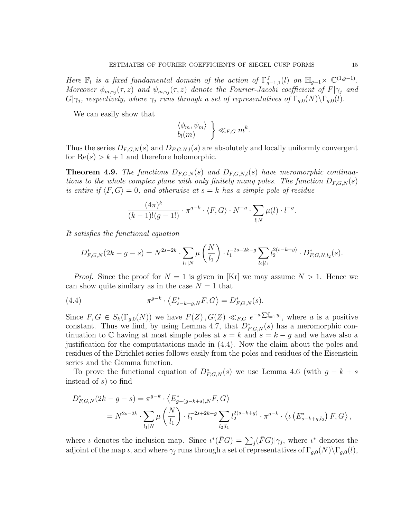Here  $\mathbb{F}_l$  is a fixed fundamental domain of the action of  $\Gamma_{g-1,1}^J(l)$  on  $\mathbb{H}_{g-1}\times \mathbb{C}^{(1,g-1)}$ . Moreover  $\phi_{m,\gamma_j}(\tau,z)$  and  $\psi_{m,\gamma_j}(\tau,z)$  denote the Fourier-Jacobi coefficient of  $F|\gamma_j$  and  $G|\gamma_j$ , respectively, where  $\gamma_j$  runs through a set of representatives of  $\Gamma_{g,0}(N)\backslash \Gamma_{g,0}(l)$ .

We can easily show that

$$
\begin{array}{c}\n\langle \phi_m, \psi_m \rangle \\
b_l(m)\n\end{array}\n\Big\} \ll_{F,G} m^k.
$$

Thus the series  $D_{F,G,N}(s)$  and  $D_{F,G,N,l}(s)$  are absolutely and locally uniformly convergent for  $\text{Re}(s) > k+1$  and therefore holomorphic.

**Theorem 4.9.** The functions  $D_{F,G,N}(s)$  and  $D_{F,G,N,l}(s)$  have meromorphic continuations to the whole complex plane with only finitely many poles. The function  $D_{FG,N}(s)$ is entire if  $\langle F, G \rangle = 0$ , and otherwise at  $s = k$  has a simple pole of residue

$$
\frac{(4\pi)^k}{(k-1)!(g-1)!} \cdot \pi^{g-k} \cdot \langle F, G \rangle \cdot N^{-g} \cdot \sum_{l|N} \mu(l) \cdot l^{-g}.
$$

It satisfies the functional equation

$$
D_{F,G,N}^*(2k - g - s) = N^{2s - 2k} \cdot \sum_{l_1 \mid N} \mu\left(\frac{N}{l_1}\right) \cdot l_1^{-2s + 2k - g} \sum_{l_2 \mid l_1} l_2^{2(s - k + g)} \cdot D_{F,G,N,l_2}^*(s).
$$

*Proof.* Since the proof for  $N = 1$  is given in [Kr] we may assume  $N > 1$ . Hence we can show quite similary as in the case  $N = 1$  that

(4.4) 
$$
\pi^{g-k} \cdot \langle E^*_{s-k+g,N} F, G \rangle = D^*_{F,G,N}(s).
$$

Since  $F, G \in S_k(\Gamma_{g,0}(N))$  we have  $F(Z), G(Z) \ll_{F,G} e^{-a\sum_{i=1}^g y_i}$ , where a is a positive constant. Thus we find, by using Lemma 4.7, that  $D_{F,G,N}^*(s)$  has a meromorphic continuation to  $\mathbb C$  having at most simple poles at  $s = k$  and  $s = k - g$  and we have also a justification for the computatations made in (4.4). Now the claim about the poles and residues of the Dirichlet series follows easily from the poles and residues of the Eisenstein series and the Gamma function.

To prove the functional equation of  $D_{F,G,N}^*(s)$  we use Lemma 4.6 (with  $g - k + s$ ) instead of s) to find

$$
D_{F,G,N}^*(2k - g - s) = \pi^{g-k} \cdot \langle E_{g-(g-k+s),N}^* F, G \rangle
$$
  
=  $N^{2s-2k} \cdot \sum_{l_1|N} \mu \left( \frac{N}{l_1} \right) \cdot l_1^{-2s+2k-g} \sum_{l_2|l_1} l_2^{2(s-k+g)} \cdot \pi^{g-k} \cdot \langle \iota \left( E_{s-k+g,l_2}^* \right) F, G \rangle$ ,

where  $\iota$  denotes the inclusion map. Since  $\iota^*(\bar{F}G) = \sum_j (\bar{F}G)|\gamma_j$ , where  $\iota^*$  denotes the adjoint of the map *ι*, and where  $\gamma_j$  runs through a set of representatives of  $\Gamma_{g,0}(N)\backslash \Gamma_{g,0}(l)$ ,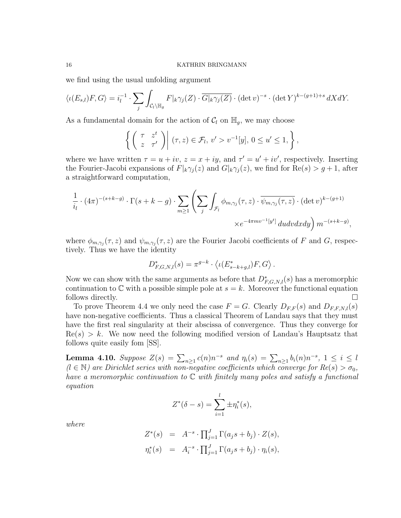we find using the usual unfolding argument

$$
\langle \iota(E_{s,l})F, G \rangle = i_l^{-1} \cdot \sum_j \int_{\mathcal{C}_l \backslash \mathbb{H}_g} F|_{k} \gamma_j(Z) \cdot \overline{G|_{k} \gamma_j(Z)} \cdot (\det v)^{-s} \cdot (\det Y)^{k-(g+1)+s} dX dY.
$$

As a fundamental domain for the action of  $C_l$  on  $\mathbb{H}_g$ , we may choose

$$
\left\{ \left( \begin{array}{cc} \tau & z^t \\ z & \tau' \end{array} \right) \middle| \ (\tau, z) \in \mathcal{F}_l, \ v' > v^{-1}[y], \ 0 \le u' \le 1, \right\},\
$$

where we have written  $\tau = u + iv$ ,  $z = x + iy$ , and  $\tau' = u' + iv'$ , respectively. Inserting the Fourier-Jacobi expansions of  $F|_k\gamma_j(z)$  and  $G|_k\gamma_j(z)$ , we find for  $\text{Re}(s) > g+1$ , after a straightforward computation,

$$
\frac{1}{i_l} \cdot (4\pi)^{-(s+k-g)} \cdot \Gamma(s+k-g) \cdot \sum_{m\geq 1} \left( \sum_j \int_{\mathcal{F}_l} \phi_{m,\gamma_j}(\tau,z) \cdot \overline{\psi_{m,\gamma_j}(\tau,z)} \cdot (\det v)^{k-(g+1)} \times e^{-4\pi m v^{-1}[y^t]} \, du dv dx dy \right) m^{-(s+k-g)},
$$

where  $\phi_{m,\gamma_j}(\tau,z)$  and  $\psi_{m,\gamma_j}(\tau,z)$  are the Fourier Jacobi coefficients of F and G, respectively. Thus we have the identity

$$
D_{F,G,N,l}^*(s) = \pi^{g-k} \cdot \langle \iota(E_{s-k+g,l}^*) F, G \rangle.
$$

Now we can show with the same arguments as before that  $D_{F,G,N,l}^*(s)$  has a meromorphic continuation to  $\mathbb C$  with a possible simple pole at  $s = k$ . Moreover the functional equation follows directly.  $\Box$ 

To prove Theorem 4.4 we only need the case  $F = G$ . Clearly  $D_{F,F}(s)$  and  $D_{F,F,N,l}(s)$ have non-negative coefficients. Thus a classical Theorem of Landau says that they must have the first real singularity at their abscissa of convergence. Thus they converge for  $Re(s) > k$ . We now need the following modified version of Landau's Hauptsatz that follows quite easily fom [SS].

**Lemma 4.10.** Suppose  $Z(s) = \sum_{n \geq 1} c(n) n^{-s}$  and  $\eta_i(s) = \sum_{n \geq 1} b_i(n) n^{-s}$ ,  $1 \leq i \leq l$  $(l \in \mathbb{N})$  are Dirichlet series with non-negative coefficients which converge for  $Re(s) > \sigma_0$ , have a meromorphic continuation to  $\mathbb C$  with finitely many poles and satisfy a functional equation

$$
Z^*(\delta - s) = \sum_{i=1}^l \pm \eta_i^*(s),
$$

where

$$
Z^*(s) = A^{-s} \cdot \prod_{j=1}^J \Gamma(a_j s + b_j) \cdot Z(s),
$$
  

$$
\eta_i^*(s) = A_i^{-s} \cdot \prod_{j=1}^J \Gamma(a_j s + b_j) \cdot \eta_i(s),
$$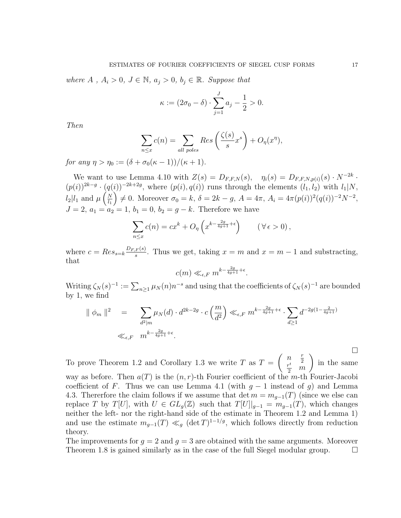where A,  $A_i > 0$ ,  $J \in \mathbb{N}$ ,  $a_j > 0$ ,  $b_j \in \mathbb{R}$ . Suppose that

$$
\kappa := (2\sigma_0 - \delta) \cdot \sum_{j=1}^{J} a_j - \frac{1}{2} > 0.
$$

Then

$$
\sum_{n \le x} c(n) = \sum_{all \ poles} Res\left(\frac{\zeta(s)}{s}x^s\right) + O_\eta(x^\eta),
$$

for any  $\eta > \eta_0 := (\delta + \sigma_0(\kappa - 1))/(\kappa + 1).$ 

We want to use Lemma 4.10 with  $Z(s) = D_{F,F,N}(s)$ ,  $\eta_i(s) = D_{F,F,N,p(i)}(s) \cdot N^{-2k}$ .  $(p(i))^{2k-g} \cdot (q(i))^{-2k+2g}$ , where  $(p(i), q(i))$  runs through the elements  $(l_1, l_2)$  with  $l_1|N$ ,  $l_2$ | $l_1$  and  $\mu$   $\left(\frac{N}{l_1}\right)$  $l_1$  $\Big) \neq 0$ . Moreover  $\sigma_0 = k$ , δ = 2k − g, A = 4π, A<sub>i</sub> = 4π(p(i))<sup>2</sup>(q(i))<sup>-2</sup>N<sup>-2</sup>,  $J = 2, a_1 = a_2 = 1, b_1 = 0, b_2 = g - k$ . Therefore we have

$$
\sum_{n \le x} c(n) = cx^k + O_\eta \left( x^{k - \frac{2g}{4g + 1} + \epsilon} \right) \qquad (\forall \epsilon > 0),
$$

where  $c = Res_{s=k} \frac{D_{F,F}(s)}{s}$  $\frac{F(S)}{s}$ . Thus we get, taking  $x = m$  and  $x = m - 1$  and substracting, that

$$
c(m) \ll_{\epsilon, F} m^{k - \frac{2g}{4g+1} + \epsilon}.
$$

Writing  $\zeta_N(s)^{-1} := \sum_{n \geq 1} \mu_N(n) n^{-s}$  and using that the coefficients of  $\zeta_N(s)^{-1}$  are bounded by 1, we find

$$
\|\phi_m\|^2 = \sum_{d^2|m} \mu_N(d) \cdot d^{2k-2g} \cdot c\left(\frac{m}{d^2}\right) \ll_{\epsilon, F} m^{k-\frac{2g}{4g+1}+\epsilon} \cdot \sum_{d\geq 1} d^{-2g(1-\frac{2}{4g+1})}
$$
  

$$
\ll_{\epsilon, F} m^{k-\frac{2g}{4g+1}+\epsilon}.
$$

To prove Theorem 1.2 and Corollary 1.3 we write T as  $T =$  $\left( n \right)$  $\frac{r^t}{2}$  m  $\setminus$ in the same way as before. Then  $a(T)$  is the  $(n, r)$ -th Fourier coefficient of the m-th Fourier-Jacobi coefficient of F. Thus we can use Lemma 4.1 (with  $g-1$  instead of g) and Lemma 4.3. Thererfore the claim follows if we assume that det  $m = m_{q-1}(T)$  (since we else can replace T by T[U], with  $U \in GL_q(\mathbb{Z})$  such that  $T[U]|_{g-1} = m_{g-1}(T)$ , which changes neither the left- nor the right-hand side of the estimate in Theorem 1.2 and Lemma 1) and use the estimate  $m_{g-1}(T) \ll_g (\det T)^{1-1/g}$ , which follows directly from reduction theory.

The improvements for  $q = 2$  and  $q = 3$  are obtained with the same arguments. Moreover Theorem 1.8 is gained similarly as in the case of the full Siegel modular group.  $\square$ 

 $\Box$